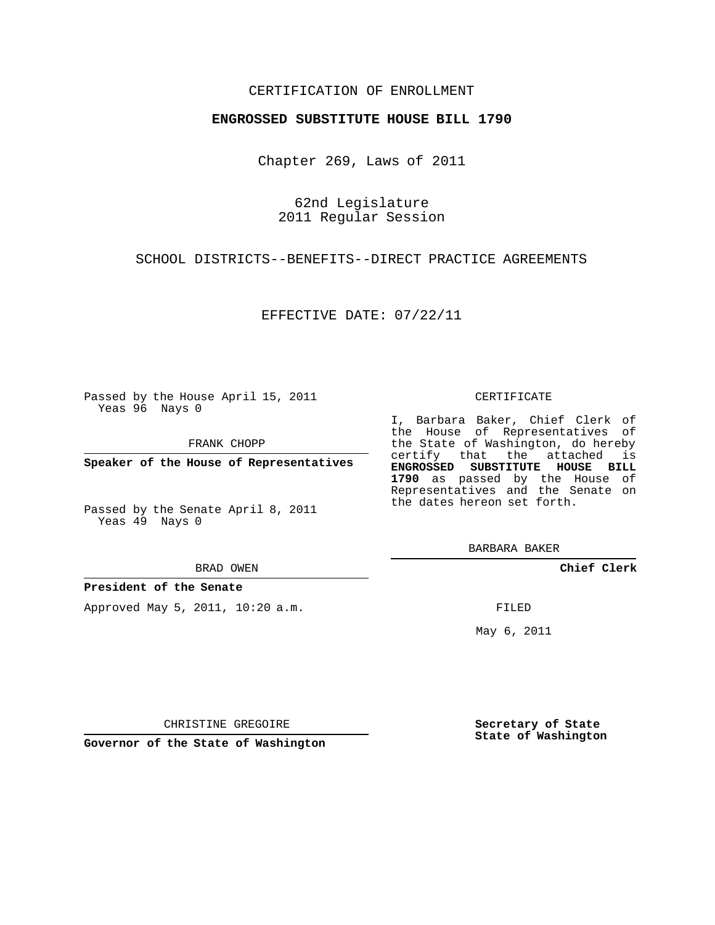## CERTIFICATION OF ENROLLMENT

## **ENGROSSED SUBSTITUTE HOUSE BILL 1790**

Chapter 269, Laws of 2011

62nd Legislature 2011 Regular Session

SCHOOL DISTRICTS--BENEFITS--DIRECT PRACTICE AGREEMENTS

EFFECTIVE DATE: 07/22/11

Passed by the House April 15, 2011 Yeas 96 Nays 0

FRANK CHOPP

**Speaker of the House of Representatives**

Passed by the Senate April 8, 2011 Yeas 49 Nays 0

#### BRAD OWEN

**President of the Senate**

Approved May 5, 2011, 10:20 a.m.

### CERTIFICATE

I, Barbara Baker, Chief Clerk of certify that the attached is **ENGROSSED SUBSTITUTE HOUSE BILL 1790** as passed by the House of Representatives and the Senate on

BARBARA BAKER

**Chief Clerk**

FILED

May 6, 2011

**Secretary of State State of Washington**

CHRISTINE GREGOIRE

**Governor of the State of Washington**

the House of Representatives of the State of Washington, do hereby the dates hereon set forth.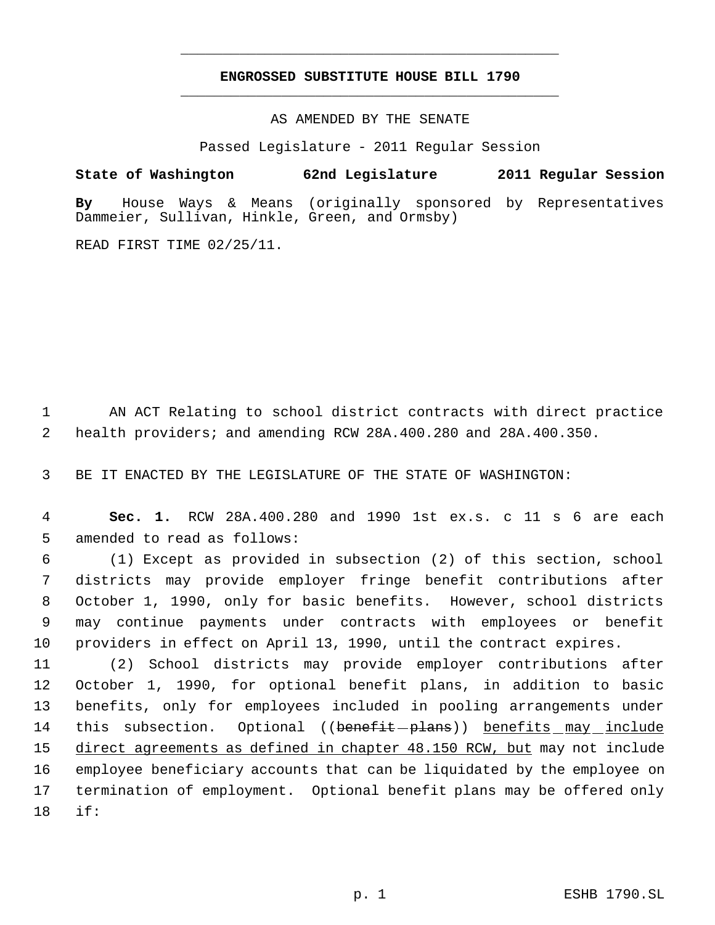# **ENGROSSED SUBSTITUTE HOUSE BILL 1790** \_\_\_\_\_\_\_\_\_\_\_\_\_\_\_\_\_\_\_\_\_\_\_\_\_\_\_\_\_\_\_\_\_\_\_\_\_\_\_\_\_\_\_\_\_

\_\_\_\_\_\_\_\_\_\_\_\_\_\_\_\_\_\_\_\_\_\_\_\_\_\_\_\_\_\_\_\_\_\_\_\_\_\_\_\_\_\_\_\_\_

AS AMENDED BY THE SENATE

Passed Legislature - 2011 Regular Session

**State of Washington 62nd Legislature 2011 Regular Session By** House Ways & Means (originally sponsored by Representatives Dammeier, Sullivan, Hinkle, Green, and Ormsby)

READ FIRST TIME 02/25/11.

 1 AN ACT Relating to school district contracts with direct practice 2 health providers; and amending RCW 28A.400.280 and 28A.400.350.

3 BE IT ENACTED BY THE LEGISLATURE OF THE STATE OF WASHINGTON:

 4 **Sec. 1.** RCW 28A.400.280 and 1990 1st ex.s. c 11 s 6 are each 5 amended to read as follows:

 (1) Except as provided in subsection (2) of this section, school districts may provide employer fringe benefit contributions after October 1, 1990, only for basic benefits. However, school districts may continue payments under contracts with employees or benefit providers in effect on April 13, 1990, until the contract expires.

 (2) School districts may provide employer contributions after October 1, 1990, for optional benefit plans, in addition to basic benefits, only for employees included in pooling arrangements under 14 this subsection. Optional ((benefit-plans)) benefits may include 15 direct agreements as defined in chapter 48.150 RCW, but may not include employee beneficiary accounts that can be liquidated by the employee on termination of employment. Optional benefit plans may be offered only 18 if: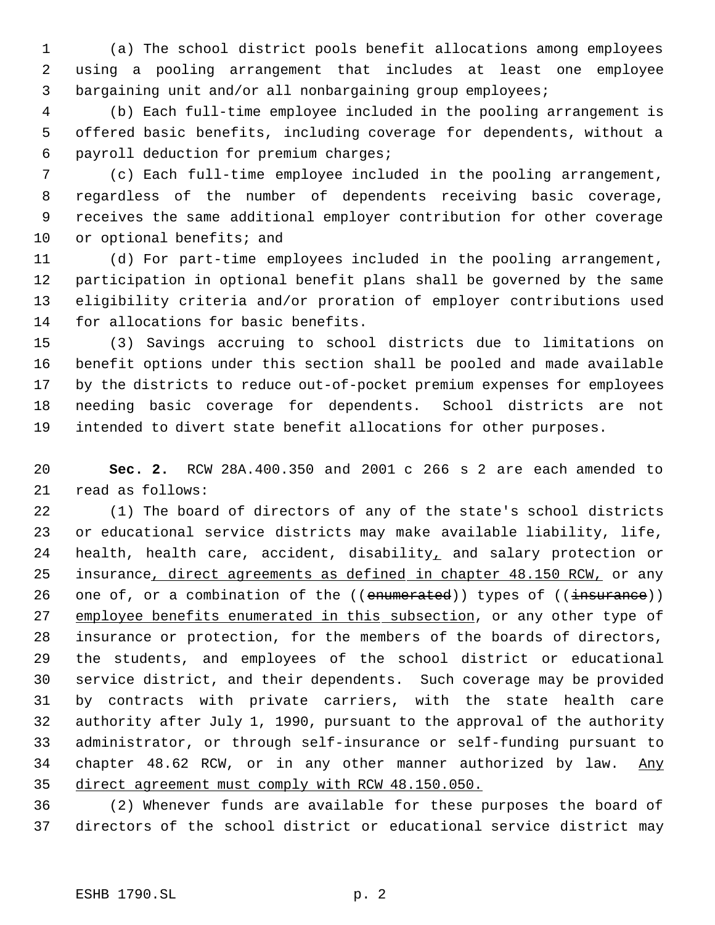(a) The school district pools benefit allocations among employees using a pooling arrangement that includes at least one employee bargaining unit and/or all nonbargaining group employees;

 (b) Each full-time employee included in the pooling arrangement is offered basic benefits, including coverage for dependents, without a payroll deduction for premium charges;

 (c) Each full-time employee included in the pooling arrangement, regardless of the number of dependents receiving basic coverage, receives the same additional employer contribution for other coverage 10 or optional benefits; and

 (d) For part-time employees included in the pooling arrangement, participation in optional benefit plans shall be governed by the same eligibility criteria and/or proration of employer contributions used for allocations for basic benefits.

 (3) Savings accruing to school districts due to limitations on benefit options under this section shall be pooled and made available by the districts to reduce out-of-pocket premium expenses for employees needing basic coverage for dependents. School districts are not intended to divert state benefit allocations for other purposes.

 **Sec. 2.** RCW 28A.400.350 and 2001 c 266 s 2 are each amended to read as follows:

 (1) The board of directors of any of the state's school districts or educational service districts may make available liability, life, health, health care, accident, disability, and salary protection or 25 insurance, direct agreements as defined in chapter 48.150 RCW, or any 26 one of, or a combination of the ((enumerated)) types of ((insurance)) 27 employee benefits enumerated in this subsection, or any other type of insurance or protection, for the members of the boards of directors, the students, and employees of the school district or educational service district, and their dependents. Such coverage may be provided by contracts with private carriers, with the state health care authority after July 1, 1990, pursuant to the approval of the authority administrator, or through self-insurance or self-funding pursuant to 34 chapter 48.62 RCW, or in any other manner authorized by law. Any direct agreement must comply with RCW 48.150.050.

 (2) Whenever funds are available for these purposes the board of directors of the school district or educational service district may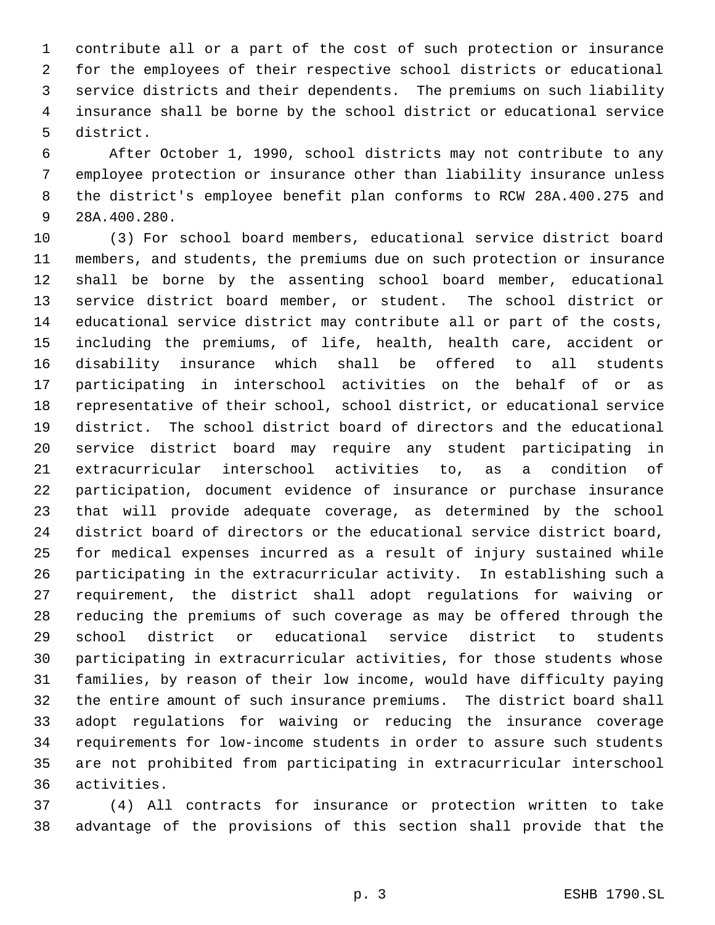contribute all or a part of the cost of such protection or insurance for the employees of their respective school districts or educational service districts and their dependents. The premiums on such liability insurance shall be borne by the school district or educational service district.

 After October 1, 1990, school districts may not contribute to any employee protection or insurance other than liability insurance unless the district's employee benefit plan conforms to RCW 28A.400.275 and 28A.400.280.

 (3) For school board members, educational service district board members, and students, the premiums due on such protection or insurance shall be borne by the assenting school board member, educational service district board member, or student. The school district or educational service district may contribute all or part of the costs, including the premiums, of life, health, health care, accident or disability insurance which shall be offered to all students participating in interschool activities on the behalf of or as representative of their school, school district, or educational service district. The school district board of directors and the educational service district board may require any student participating in extracurricular interschool activities to, as a condition of participation, document evidence of insurance or purchase insurance that will provide adequate coverage, as determined by the school district board of directors or the educational service district board, for medical expenses incurred as a result of injury sustained while participating in the extracurricular activity. In establishing such a requirement, the district shall adopt regulations for waiving or reducing the premiums of such coverage as may be offered through the school district or educational service district to students participating in extracurricular activities, for those students whose families, by reason of their low income, would have difficulty paying the entire amount of such insurance premiums. The district board shall adopt regulations for waiving or reducing the insurance coverage requirements for low-income students in order to assure such students are not prohibited from participating in extracurricular interschool activities.

 (4) All contracts for insurance or protection written to take advantage of the provisions of this section shall provide that the